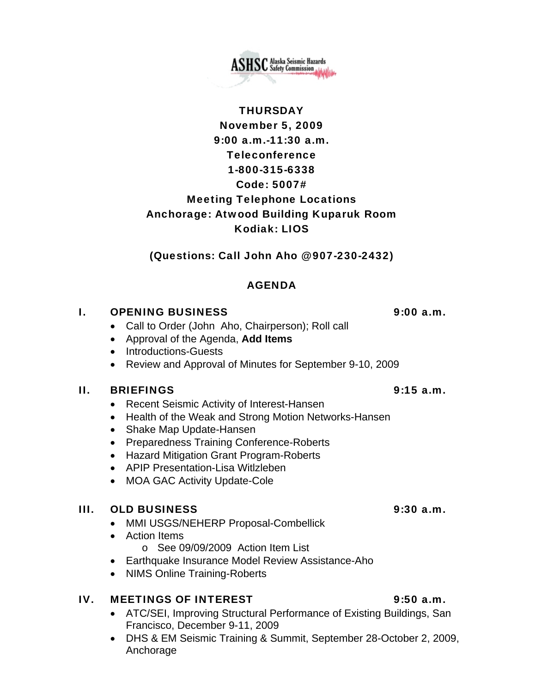# **THURSDAY** November 5, 2009 9:00 a.m.-11:30 a.m. Teleconference 1-800-315-6338 Code: 5007# Meeting Telephone Locations Anchorage: Atwood Building Kuparuk Room Kodiak: LIOS

(Questions: Call John Aho @ 907-230-2432)

# AGENDA

# I. OPENING BUSINESS 9:00 a.m.

- Call to Order (John Aho, Chairperson); Roll call
- Approval of the Agenda, **Add Items**
- Introductions-Guests
- Review and Approval of Minutes for September 9-10, 2009

## II. BRIEFINGS 9:15 a.m.

- Recent Seismic Activity of Interest-Hansen
- Health of the Weak and Strong Motion Networks-Hansen
- Shake Map Update-Hansen
- Preparedness Training Conference-Roberts
- Hazard Mitigation Grant Program-Roberts
- APIP Presentation-Lisa Witlzleben
- MOA GAC Activity Update-Cole

## III. OLD BUSINESS 9:30 a.m.

- MMI USGS/NEHERP Proposal-Combellick
- Action Items
	- o See 09/09/2009 Action Item List
- Earthquake Insurance Model Review Assistance-Aho
- NIMS Online Training-Roberts

# IV. MEETINGS OF INTEREST 9:50 a.m.

- ATC/SEI, Improving Structural Performance of Existing Buildings, San Francisco, December 9-11, 2009
- DHS & EM Seismic Training & Summit, September 28-October 2, 2009, Anchorage

**ASHSC** Alaska Seismic Hazards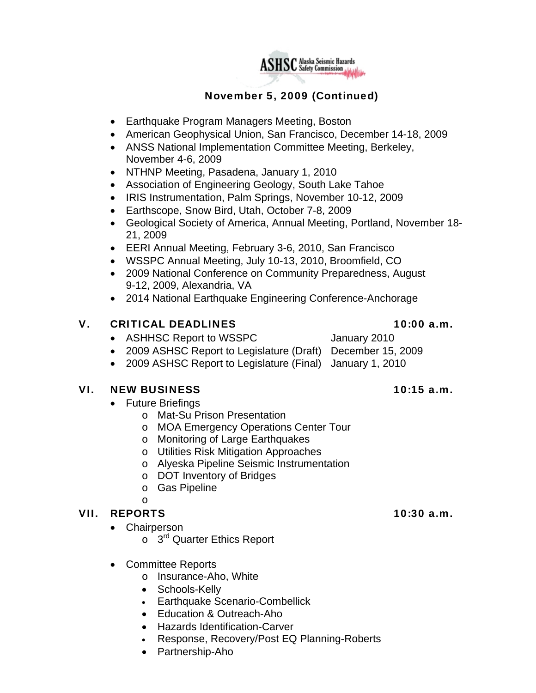

# November 5, 2009 (Continued)

- Earthquake Program Managers Meeting, Boston
- American Geophysical Union, San Francisco, December 14-18, 2009
- ANSS National Implementation Committee Meeting, Berkeley, November 4-6, 2009
- NTHNP Meeting, Pasadena, January 1, 2010
- Association of Engineering Geology, South Lake Tahoe
- IRIS Instrumentation, Palm Springs, November 10-12, 2009
- Earthscope, Snow Bird, Utah, October 7-8, 2009
- Geological Society of America, Annual Meeting, Portland, November 18- 21, 2009
- EERI Annual Meeting, February 3-6, 2010, San Francisco
- WSSPC Annual Meeting, July 10-13, 2010, Broomfield, CO
- 2009 National Conference on Community Preparedness, August 9-12, 2009, Alexandria, VA
- 2014 National Earthquake Engineering Conference-Anchorage

### V. CRITICAL DEADLINES 10:00 a.m.

- ASHHSC Report to WSSPC January 2010
- 2009 ASHSC Report to Legislature (Draft) December 15, 2009
- 2009 ASHSC Report to Legislature (Final) January 1, 2010

### VI. NEW BUSINESS 10:15 a.m.

- Future Briefings
	- o Mat-Su Prison Presentation
	- o MOA Emergency Operations Center Tour
	- o Monitoring of Large Earthquakes
	- o Utilities Risk Mitigation Approaches
	- o Alyeska Pipeline Seismic Instrumentation
	- o DOT Inventory of Bridges
	- o Gas Pipeline
	- o

### VII. REPORTS 10:30 a.m.

- Chairperson
	- $\circ$  3<sup>rd</sup> Quarter Ethics Report
- Committee Reports
	- o Insurance-Aho, White
	- Schools-Kelly
	- Earthquake Scenario-Combellick
	- Education & Outreach-Aho
	- Hazards Identification-Carver
	- Response, Recovery/Post EQ Planning-Roberts
	- Partnership-Aho